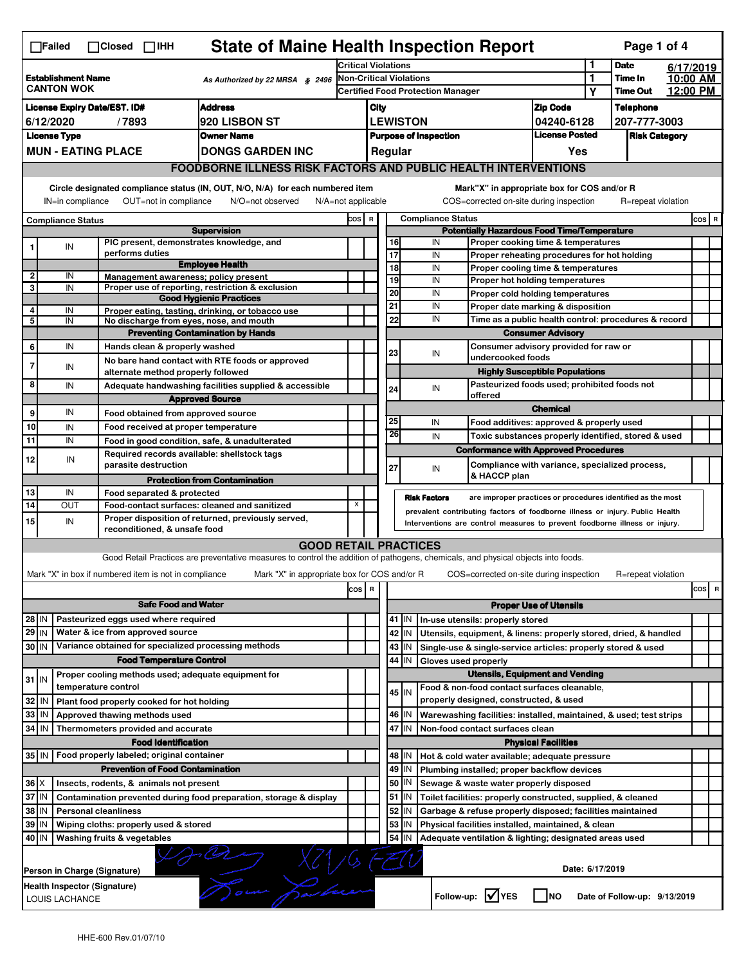| <b>State of Maine Health Inspection Report</b><br>Page 1 of 4<br>$\Box$ Failed<br>$\Box$ Closed $\Box$ IHH                                                                                                                                                          |                                                                       |  |                                                                                              |                                                                                                                                   |                         |                                                                               |                  |                     |                                                                                  |                                                                                                                 |                               |                 |                              |           |     |   |
|---------------------------------------------------------------------------------------------------------------------------------------------------------------------------------------------------------------------------------------------------------------------|-----------------------------------------------------------------------|--|----------------------------------------------------------------------------------------------|-----------------------------------------------------------------------------------------------------------------------------------|-------------------------|-------------------------------------------------------------------------------|------------------|---------------------|----------------------------------------------------------------------------------|-----------------------------------------------------------------------------------------------------------------|-------------------------------|-----------------|------------------------------|-----------|-----|---|
|                                                                                                                                                                                                                                                                     |                                                                       |  |                                                                                              |                                                                                                                                   |                         | <b>Critical Violations</b>                                                    |                  |                     |                                                                                  |                                                                                                                 |                               | 1               | <b>Date</b>                  | 6/17/2019 |     |   |
| <b>Establishment Name</b><br>As Authorized by 22 MRSA § 2496<br><b>CANTON WOK</b>                                                                                                                                                                                   |                                                                       |  |                                                                                              |                                                                                                                                   | Non-Critical Violations |                                                                               |                  |                     |                                                                                  | 1                                                                                                               | Time In                       | 10:00 AM        |                              |           |     |   |
|                                                                                                                                                                                                                                                                     |                                                                       |  |                                                                                              |                                                                                                                                   |                         | <b>Certified Food Protection Manager</b>                                      |                  |                     |                                                                                  |                                                                                                                 |                               | Υ               | <b>Time Out</b>              | 12:00 PM  |     |   |
| <b>Address</b><br><b>License Expiry Date/EST. ID#</b>                                                                                                                                                                                                               |                                                                       |  |                                                                                              |                                                                                                                                   |                         | City                                                                          |                  |                     |                                                                                  |                                                                                                                 | <b>Zip Code</b>               |                 | <b>Telephone</b>             |           |     |   |
| <b>920 LISBON ST</b><br>6/12/2020<br>/7893                                                                                                                                                                                                                          |                                                                       |  |                                                                                              |                                                                                                                                   |                         | <b>LEWISTON</b><br>04240-6128                                                 |                  |                     |                                                                                  |                                                                                                                 | 207-777-3003                  |                 |                              |           |     |   |
|                                                                                                                                                                                                                                                                     | <b>License Type</b><br><b>Owner Name</b><br><b>MUN - EATING PLACE</b> |  |                                                                                              |                                                                                                                                   |                         | <b>License Posted</b><br><b>Purpose of Inspection</b><br><b>Risk Category</b> |                  |                     |                                                                                  |                                                                                                                 |                               |                 |                              |           |     |   |
|                                                                                                                                                                                                                                                                     |                                                                       |  |                                                                                              | <b>DONGS GARDEN INC</b>                                                                                                           |                         |                                                                               | Regular          |                     |                                                                                  |                                                                                                                 | Yes                           |                 |                              |           |     |   |
|                                                                                                                                                                                                                                                                     |                                                                       |  |                                                                                              | <b>FOODBORNE ILLNESS RISK FACTORS AND PUBLIC HEALTH INTERVENTIONS</b>                                                             |                         |                                                                               |                  |                     |                                                                                  |                                                                                                                 |                               |                 |                              |           |     |   |
| Circle designated compliance status (IN, OUT, N/O, N/A) for each numbered item<br>Mark"X" in appropriate box for COS and/or R<br>OUT=not in compliance<br>COS=corrected on-site during inspection<br>IN=in compliance<br>N/O=not observed<br>$N/A = not$ applicable |                                                                       |  |                                                                                              |                                                                                                                                   |                         |                                                                               |                  | R=repeat violation  |                                                                                  |                                                                                                                 |                               |                 |                              |           |     |   |
|                                                                                                                                                                                                                                                                     |                                                                       |  |                                                                                              |                                                                                                                                   |                         | <b>Compliance Status</b><br>COS R                                             |                  |                     |                                                                                  |                                                                                                                 |                               |                 |                              | COS R     |     |   |
| <b>Compliance Status</b><br><b>Supervision</b>                                                                                                                                                                                                                      |                                                                       |  |                                                                                              |                                                                                                                                   |                         | <b>Potentially Hazardous Food Time/Temperature</b>                            |                  |                     |                                                                                  |                                                                                                                 |                               |                 |                              |           |     |   |
|                                                                                                                                                                                                                                                                     | IN                                                                    |  | PIC present, demonstrates knowledge, and                                                     |                                                                                                                                   |                         |                                                                               | 16               |                     | IN                                                                               | Proper cooking time & temperatures                                                                              |                               |                 |                              |           |     |   |
|                                                                                                                                                                                                                                                                     |                                                                       |  | performs duties                                                                              | <b>Employee Health</b>                                                                                                            |                         |                                                                               | $\overline{17}$  |                     | IN                                                                               | Proper reheating procedures for hot holding                                                                     |                               |                 |                              |           |     |   |
| 2                                                                                                                                                                                                                                                                   | IN                                                                    |  | Management awareness; policy present                                                         |                                                                                                                                   |                         |                                                                               | 18<br>19         |                     | IN<br>IN                                                                         | Proper cooling time & temperatures                                                                              |                               |                 |                              |           |     |   |
| 3                                                                                                                                                                                                                                                                   | IN                                                                    |  |                                                                                              | Proper use of reporting, restriction & exclusion                                                                                  |                         |                                                                               | 20               |                     | IN                                                                               | Proper hot holding temperatures                                                                                 |                               |                 |                              |           |     |   |
|                                                                                                                                                                                                                                                                     |                                                                       |  |                                                                                              | <b>Good Hygienic Practices</b>                                                                                                    |                         |                                                                               | 21               |                     | IN                                                                               | Proper cold holding temperatures<br>Proper date marking & disposition                                           |                               |                 |                              |           |     |   |
| 4<br>5                                                                                                                                                                                                                                                              | IN<br>IN                                                              |  | No discharge from eyes, nose, and mouth                                                      | Proper eating, tasting, drinking, or tobacco use                                                                                  |                         |                                                                               | 22               |                     | IN                                                                               |                                                                                                                 |                               |                 |                              |           |     |   |
|                                                                                                                                                                                                                                                                     |                                                                       |  |                                                                                              | <b>Preventing Contamination by Hands</b>                                                                                          |                         |                                                                               |                  |                     | Time as a public health control: procedures & record<br><b>Consumer Advisory</b> |                                                                                                                 |                               |                 |                              |           |     |   |
| 6                                                                                                                                                                                                                                                                   | IN                                                                    |  | Hands clean & properly washed                                                                |                                                                                                                                   |                         |                                                                               |                  |                     |                                                                                  | Consumer advisory provided for raw or                                                                           |                               |                 |                              |           |     |   |
|                                                                                                                                                                                                                                                                     |                                                                       |  |                                                                                              | No bare hand contact with RTE foods or approved                                                                                   |                         |                                                                               | 23               |                     | IN                                                                               | undercooked foods                                                                                               |                               |                 |                              |           |     |   |
| 7                                                                                                                                                                                                                                                                   | IN                                                                    |  | alternate method properly followed                                                           |                                                                                                                                   |                         |                                                                               |                  |                     |                                                                                  | <b>Highly Susceptible Populations</b>                                                                           |                               |                 |                              |           |     |   |
| 8                                                                                                                                                                                                                                                                   | IN                                                                    |  |                                                                                              | Adequate handwashing facilities supplied & accessible                                                                             |                         |                                                                               | 24               |                     | IN                                                                               | Pasteurized foods used; prohibited foods not                                                                    |                               |                 |                              |           |     |   |
|                                                                                                                                                                                                                                                                     |                                                                       |  |                                                                                              | <b>Approved Source</b>                                                                                                            |                         |                                                                               |                  |                     |                                                                                  | offered                                                                                                         |                               |                 |                              |           |     |   |
| 9                                                                                                                                                                                                                                                                   | IN                                                                    |  | Food obtained from approved source                                                           |                                                                                                                                   |                         |                                                                               |                  |                     |                                                                                  |                                                                                                                 | <b>Chemical</b>               |                 |                              |           |     |   |
| 10                                                                                                                                                                                                                                                                  | IN                                                                    |  | Food received at proper temperature                                                          |                                                                                                                                   |                         |                                                                               | 25               |                     | IN                                                                               | Food additives: approved & properly used                                                                        |                               |                 |                              |           |     |   |
| 11                                                                                                                                                                                                                                                                  | IN                                                                    |  |                                                                                              | Food in good condition, safe, & unadulterated                                                                                     |                         |                                                                               | 26               |                     | IN                                                                               | Toxic substances properly identified, stored & used                                                             |                               |                 |                              |           |     |   |
| 12                                                                                                                                                                                                                                                                  | IN                                                                    |  | Required records available: shellstock tags                                                  |                                                                                                                                   |                         |                                                                               |                  |                     |                                                                                  | <b>Conformance with Approved Procedures</b>                                                                     |                               |                 |                              |           |     |   |
|                                                                                                                                                                                                                                                                     |                                                                       |  | parasite destruction                                                                         |                                                                                                                                   |                         |                                                                               | 27               |                     | IN                                                                               | Compliance with variance, specialized process,                                                                  |                               |                 |                              |           |     |   |
|                                                                                                                                                                                                                                                                     |                                                                       |  |                                                                                              |                                                                                                                                   |                         |                                                                               |                  |                     |                                                                                  |                                                                                                                 |                               |                 |                              |           |     |   |
|                                                                                                                                                                                                                                                                     |                                                                       |  |                                                                                              | <b>Protection from Contamination</b>                                                                                              |                         |                                                                               |                  |                     |                                                                                  | & HACCP plan                                                                                                    |                               |                 |                              |           |     |   |
| 13                                                                                                                                                                                                                                                                  | IN                                                                    |  | Food separated & protected                                                                   |                                                                                                                                   |                         |                                                                               |                  | <b>Risk Factors</b> |                                                                                  | are improper practices or procedures identified as the most                                                     |                               |                 |                              |           |     |   |
| 14                                                                                                                                                                                                                                                                  | OUT                                                                   |  |                                                                                              | Food-contact surfaces: cleaned and sanitized                                                                                      | X                       |                                                                               |                  |                     |                                                                                  | prevalent contributing factors of foodborne illness or injury. Public Health                                    |                               |                 |                              |           |     |   |
| 15                                                                                                                                                                                                                                                                  | IN                                                                    |  |                                                                                              | Proper disposition of returned, previously served,                                                                                |                         |                                                                               |                  |                     |                                                                                  | Interventions are control measures to prevent foodborne illness or injury.                                      |                               |                 |                              |           |     |   |
|                                                                                                                                                                                                                                                                     |                                                                       |  | reconditioned, & unsafe food                                                                 |                                                                                                                                   |                         |                                                                               |                  |                     |                                                                                  |                                                                                                                 |                               |                 |                              |           |     |   |
|                                                                                                                                                                                                                                                                     |                                                                       |  |                                                                                              | <b>GOOD RETAIL PRACTICES</b>                                                                                                      |                         |                                                                               |                  |                     |                                                                                  |                                                                                                                 |                               |                 |                              |           |     |   |
|                                                                                                                                                                                                                                                                     |                                                                       |  |                                                                                              | Good Retail Practices are preventative measures to control the addition of pathogens, chemicals, and physical objects into foods. |                         |                                                                               |                  |                     |                                                                                  |                                                                                                                 |                               |                 |                              |           |     |   |
|                                                                                                                                                                                                                                                                     |                                                                       |  | Mark "X" in box if numbered item is not in compliance                                        | Mark "X" in appropriate box for COS and/or R                                                                                      |                         |                                                                               |                  |                     |                                                                                  | COS=corrected on-site during inspection                                                                         |                               |                 | R=repeat violation           |           |     |   |
|                                                                                                                                                                                                                                                                     |                                                                       |  |                                                                                              |                                                                                                                                   | cos                     | R                                                                             |                  |                     |                                                                                  |                                                                                                                 |                               |                 |                              |           | cos | R |
|                                                                                                                                                                                                                                                                     |                                                                       |  | <b>Safe Food and Water</b>                                                                   |                                                                                                                                   |                         |                                                                               |                  |                     |                                                                                  |                                                                                                                 | <b>Proper Use of Utensils</b> |                 |                              |           |     |   |
| 28 IN                                                                                                                                                                                                                                                               |                                                                       |  | Pasteurized eggs used where required                                                         |                                                                                                                                   |                         |                                                                               | 41   IN          |                     |                                                                                  | In-use utensils: properly stored                                                                                |                               |                 |                              |           |     |   |
| 29 IN                                                                                                                                                                                                                                                               |                                                                       |  | Water & ice from approved source                                                             |                                                                                                                                   |                         |                                                                               | 42 IN            |                     |                                                                                  | Utensils, equipment, & linens: properly stored, dried, & handled                                                |                               |                 |                              |           |     |   |
| 30 IN                                                                                                                                                                                                                                                               |                                                                       |  | Variance obtained for specialized processing methods                                         |                                                                                                                                   |                         |                                                                               | 43   IN          |                     |                                                                                  | Single-use & single-service articles: properly stored & used                                                    |                               |                 |                              |           |     |   |
|                                                                                                                                                                                                                                                                     |                                                                       |  | <b>Food Temperature Control</b>                                                              |                                                                                                                                   |                         |                                                                               | 44               | IN                  |                                                                                  | Gloves used properly                                                                                            |                               |                 |                              |           |     |   |
| $31$ M                                                                                                                                                                                                                                                              |                                                                       |  | Proper cooling methods used; adequate equipment for                                          |                                                                                                                                   |                         |                                                                               |                  |                     |                                                                                  | <b>Utensils, Equipment and Vending</b>                                                                          |                               |                 |                              |           |     |   |
|                                                                                                                                                                                                                                                                     |                                                                       |  | temperature control                                                                          |                                                                                                                                   |                         |                                                                               | 45 IN            |                     |                                                                                  | Food & non-food contact surfaces cleanable,                                                                     |                               |                 |                              |           |     |   |
| 32                                                                                                                                                                                                                                                                  | IN                                                                    |  | Plant food properly cooked for hot holding                                                   |                                                                                                                                   |                         |                                                                               |                  |                     |                                                                                  | properly designed, constructed, & used                                                                          |                               |                 |                              |           |     |   |
| 33                                                                                                                                                                                                                                                                  | IN                                                                    |  | Approved thawing methods used                                                                |                                                                                                                                   |                         |                                                                               | 46   IN          |                     |                                                                                  | Warewashing facilities: installed, maintained, & used; test strips                                              |                               |                 |                              |           |     |   |
| 34                                                                                                                                                                                                                                                                  | l IN                                                                  |  | Thermometers provided and accurate                                                           |                                                                                                                                   |                         |                                                                               | 47               | İΙN                 |                                                                                  | Non-food contact surfaces clean                                                                                 |                               |                 |                              |           |     |   |
|                                                                                                                                                                                                                                                                     |                                                                       |  | <b>Food Identification</b>                                                                   |                                                                                                                                   |                         |                                                                               |                  | ΙN                  |                                                                                  |                                                                                                                 | <b>Physical Facilities</b>    |                 |                              |           |     |   |
|                                                                                                                                                                                                                                                                     |                                                                       |  | 35 IN   Food properly labeled; original container<br><b>Prevention of Food Contamination</b> |                                                                                                                                   |                         |                                                                               | 48               |                     |                                                                                  | Hot & cold water available; adequate pressure                                                                   |                               |                 |                              |           |     |   |
|                                                                                                                                                                                                                                                                     |                                                                       |  |                                                                                              |                                                                                                                                   |                         |                                                                               | 49 IN<br>50   IN |                     |                                                                                  | Plumbing installed; proper backflow devices                                                                     |                               |                 |                              |           |     |   |
| $36 \times$<br>37 IN                                                                                                                                                                                                                                                |                                                                       |  | Insects, rodents, & animals not present                                                      | Contamination prevented during food preparation, storage & display                                                                |                         |                                                                               | 51 J IN          |                     |                                                                                  | Sewage & waste water properly disposed<br>Toilet facilities: properly constructed, supplied, & cleaned          |                               |                 |                              |           |     |   |
| 38                                                                                                                                                                                                                                                                  | ΙN                                                                    |  | <b>Personal cleanliness</b>                                                                  |                                                                                                                                   |                         |                                                                               | 52               | IN                  |                                                                                  |                                                                                                                 |                               |                 |                              |           |     |   |
| 39 IN                                                                                                                                                                                                                                                               |                                                                       |  | Wiping cloths: properly used & stored                                                        |                                                                                                                                   |                         |                                                                               | 53               | IN                  |                                                                                  | Garbage & refuse properly disposed; facilities maintained<br>Physical facilities installed, maintained, & clean |                               |                 |                              |           |     |   |
| 40 IN                                                                                                                                                                                                                                                               |                                                                       |  | Washing fruits & vegetables                                                                  |                                                                                                                                   |                         |                                                                               | 54               | IN                  |                                                                                  | Adequate ventilation & lighting; designated areas used                                                          |                               |                 |                              |           |     |   |
|                                                                                                                                                                                                                                                                     |                                                                       |  |                                                                                              |                                                                                                                                   |                         |                                                                               |                  |                     |                                                                                  |                                                                                                                 |                               |                 |                              |           |     |   |
|                                                                                                                                                                                                                                                                     |                                                                       |  |                                                                                              |                                                                                                                                   |                         |                                                                               |                  |                     |                                                                                  |                                                                                                                 |                               | Date: 6/17/2019 |                              |           |     |   |
|                                                                                                                                                                                                                                                                     |                                                                       |  | Person in Charge (Signature)                                                                 |                                                                                                                                   |                         |                                                                               |                  |                     |                                                                                  |                                                                                                                 |                               |                 |                              |           |     |   |
|                                                                                                                                                                                                                                                                     | LOUIS LACHANCE                                                        |  | Health Inspector (Signature)                                                                 | Tom Lo                                                                                                                            |                         |                                                                               |                  |                     |                                                                                  | Follow-up: V YES                                                                                                | <b>INO</b>                    |                 | Date of Follow-up: 9/13/2019 |           |     |   |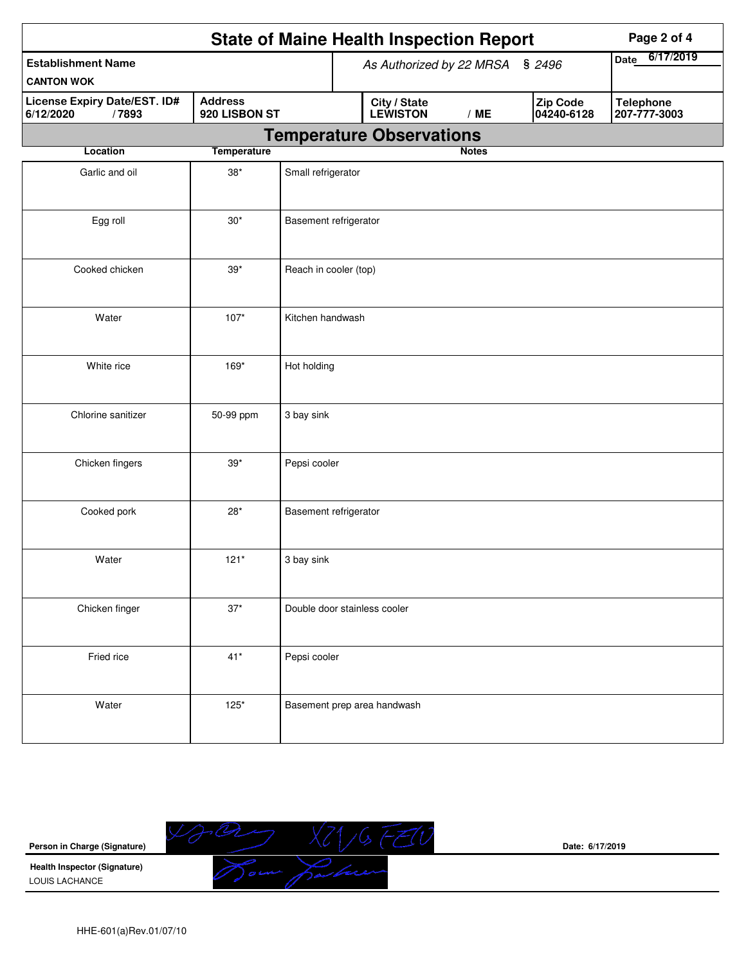|                                                    |                                 |                                 |                                 | <b>State of Maine Health Inspection Report</b> | Page 2 of 4  |                          |                                  |
|----------------------------------------------------|---------------------------------|---------------------------------|---------------------------------|------------------------------------------------|--------------|--------------------------|----------------------------------|
| <b>Establishment Name</b>                          |                                 | As Authorized by 22 MRSA § 2496 |                                 |                                                |              | 6/17/2019<br><b>Date</b> |                                  |
| <b>CANTON WOK</b>                                  |                                 |                                 |                                 |                                                |              |                          |                                  |
| License Expiry Date/EST. ID#<br>/7893<br>6/12/2020 | <b>Address</b><br>920 LISBON ST |                                 |                                 | City / State<br>LEWISTON                       | /ME          | Zip Code<br>04240-6128   | <b>Telephone</b><br>207-777-3003 |
|                                                    |                                 |                                 | <b>Temperature Observations</b> |                                                |              |                          |                                  |
| Location                                           | <b>Temperature</b>              |                                 |                                 |                                                | <b>Notes</b> |                          |                                  |
| Garlic and oil                                     | $38^{\ast}$                     | Small refrigerator              |                                 |                                                |              |                          |                                  |
| Egg roll                                           | $30*$                           | Basement refrigerator           |                                 |                                                |              |                          |                                  |
| Cooked chicken                                     | $39*$                           | Reach in cooler (top)           |                                 |                                                |              |                          |                                  |
| Water                                              | $107*$                          | Kitchen handwash                |                                 |                                                |              |                          |                                  |
| White rice                                         | 169*                            | Hot holding                     |                                 |                                                |              |                          |                                  |
| Chlorine sanitizer                                 | 50-99 ppm                       | 3 bay sink                      |                                 |                                                |              |                          |                                  |
| Chicken fingers                                    | $39*$                           | Pepsi cooler                    |                                 |                                                |              |                          |                                  |
| Cooked pork                                        | $28*$                           | Basement refrigerator           |                                 |                                                |              |                          |                                  |
| Water                                              | $121*$                          | 3 bay sink                      |                                 |                                                |              |                          |                                  |
| Chicken finger                                     | $37^{\star}$                    |                                 |                                 | Double door stainless cooler                   |              |                          |                                  |
| Fried rice                                         | $41*$                           | Pepsi cooler                    |                                 |                                                |              |                          |                                  |
| Water                                              | $125*$                          |                                 |                                 | Basement prep area handwash                    |              |                          |                                  |



**Date: 6/17/2019**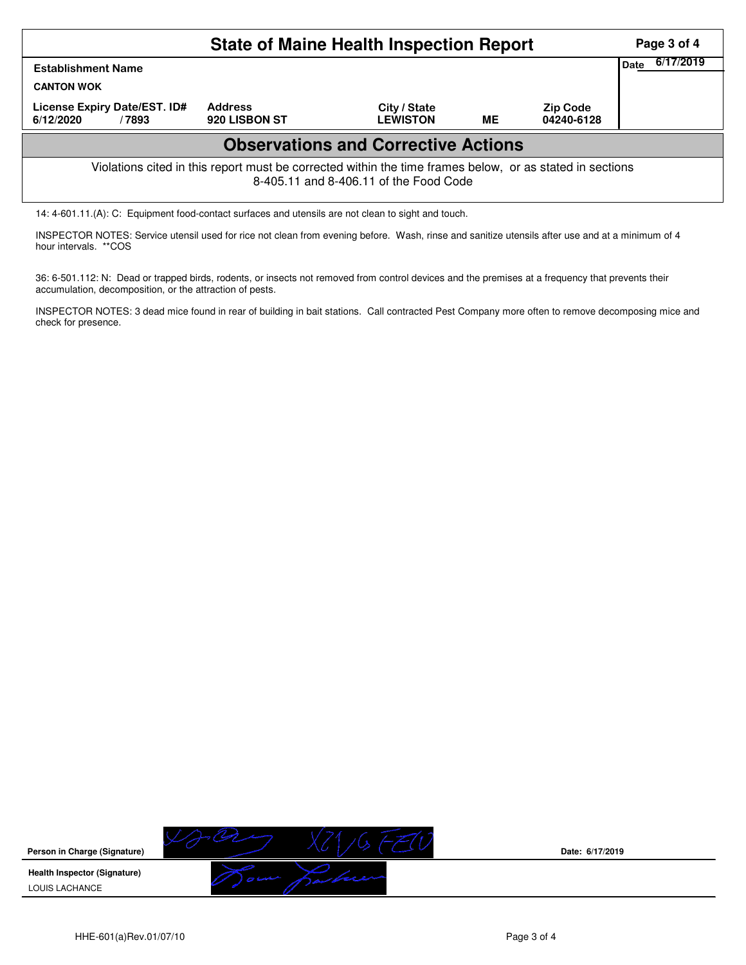|                                                                                                                                                                 | Page 3 of 4 |  |  |  |  |  |  |  |  |
|-----------------------------------------------------------------------------------------------------------------------------------------------------------------|-------------|--|--|--|--|--|--|--|--|
| 6/17/2019<br>Date<br><b>Establishment Name</b><br><b>CANTON WOK</b>                                                                                             |             |  |  |  |  |  |  |  |  |
| License Expiry Date/EST. ID#<br><b>Address</b><br>City / State<br><b>Zip Code</b><br><b>LEWISTON</b><br>ME<br>920 LISBON ST<br>04240-6128<br>6/12/2020<br>/7893 |             |  |  |  |  |  |  |  |  |
| <b>Observations and Corrective Actions</b>                                                                                                                      |             |  |  |  |  |  |  |  |  |
| Violations cited in this report must be corrected within the time frames below, or as stated in sections<br>8-405.11 and 8-406.11 of the Food Code              |             |  |  |  |  |  |  |  |  |

14: 4-601.11.(A): C: Equipment food-contact surfaces and utensils are not clean to sight and touch.

INSPECTOR NOTES: Service utensil used for rice not clean from evening before. Wash, rinse and sanitize utensils after use and at a minimum of 4 hour intervals. \*\*COS

36: 6-501.112: N: Dead or trapped birds, rodents, or insects not removed from control devices and the premises at a frequency that prevents their accumulation, decomposition, or the attraction of pests.

INSPECTOR NOTES: 3 dead mice found in rear of building in bait stations. Call contracted Pest Company more often to remove decomposing mice and check for presence.



**Date: 6/17/2019**